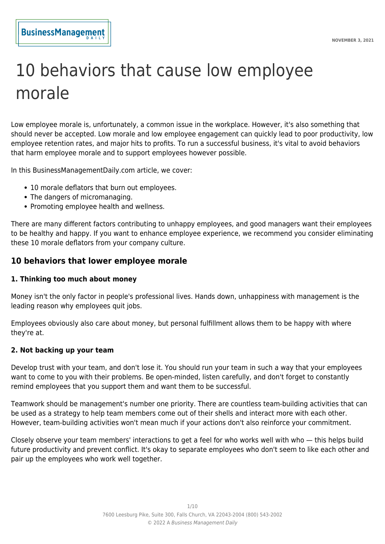# 10 behaviors that cause low employee morale

Low employee morale is, unfortunately, a common issue in the workplace. However, it's also something that should never be accepted. Low morale and low employee engagement can quickly lead to poor productivity, low employee retention rates, and major hits to profits. To run a successful business, it's vital to avoid behaviors that harm employee morale and to support employees however possible.

In this BusinessManagementDaily.com article, we cover:

- 10 morale deflators that burn out employees.
- The dangers of micromanaging.
- Promoting employee health and wellness.

There are many different factors contributing to unhappy employees, and good managers want their employees to be healthy and happy. If you want to enhance employee experience, we recommend you consider eliminating these 10 morale deflators from your company culture.

## **10 behaviors that lower employee morale**

#### **1. Thinking too much about money**

Money isn't the only factor in people's professional lives. Hands down, unhappiness with management is the leading reason why employees quit jobs.

Employees obviously also care about money, but personal fulfillment allows them to be happy with where they're at.

#### **2. Not backing up your team**

Develop trust with your team, and don't lose it. You should run your team in such a way that your employees want to come to you with their problems. Be open-minded, listen carefully, and don't forget to constantly remind employees that you support them and want them to be successful.

Teamwork should be management's number one priority. There are countless team-building activities that can be used as a strategy to help team members come out of their shells and interact more with each other. However, team-building activities won't mean much if your actions don't also reinforce your commitment.

Closely observe your team members' interactions to get a feel for who works well with who — this helps build future productivity and prevent conflict. It's okay to separate employees who don't seem to like each other and pair up the employees who work well together.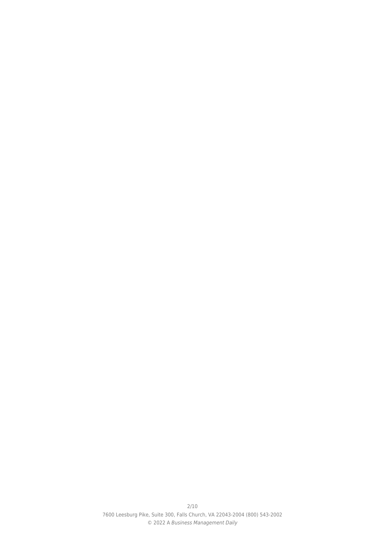2/10 7600 Leesburg Pike, Suite 300, Falls Church, VA 22043-2004 (800) 543-2002 © 2022 A Business Management Daily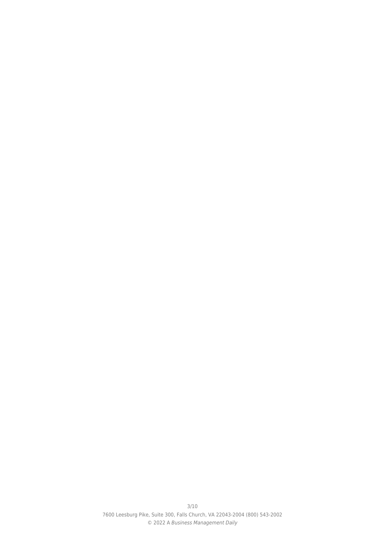3/10 7600 Leesburg Pike, Suite 300, Falls Church, VA 22043-2004 (800) 543-2002 © 2022 A Business Management Daily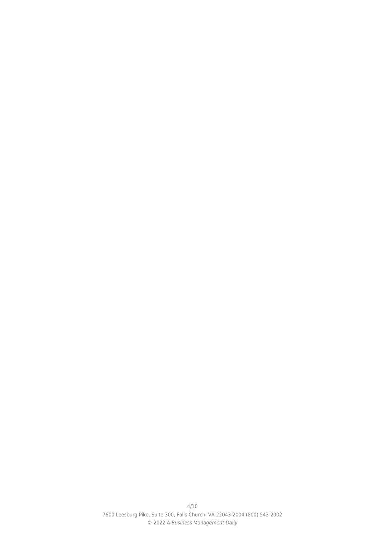4/10 7600 Leesburg Pike, Suite 300, Falls Church, VA 22043-2004 (800) 543-2002 © 2022 A Business Management Daily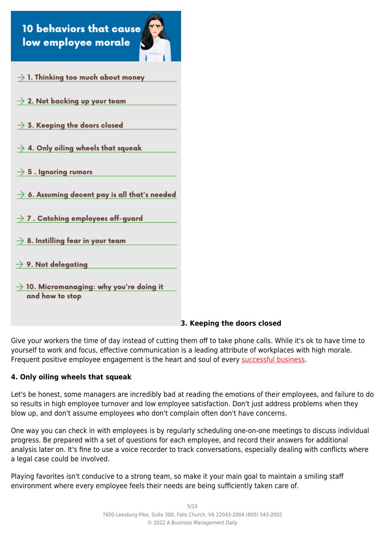10 behaviors that cause low employee morale



#### **3. Keeping the doors closed**

Give your workers the time of day instead of cutting them off to take phone calls. While it's ok to have time to yourself to work and focus, effective communication is a leading attribute of workplaces with high morale. Frequent positive employee engagement is the heart and soul of every [successful business](https://intranet.ecu.edu.au/__data/assets/pdf_file/0019/501634/Communication-practices-for-managers-Jan15.pdf).

## **4. Only oiling wheels that squeak**

Let's be honest, some managers are incredibly bad at reading the emotions of their employees, and failure to do so results in high employee turnover and low employee satisfaction. Don't just address problems when they blow up, and don't assume employees who don't complain often don't have concerns.

One way you can check in with employees is by regularly scheduling one-on-one meetings to discuss individual progress. Be prepared with a set of questions for each employee, and record their answers for additional analysis later on. It's fine to use a voice recorder to track conversations, especially dealing with conflicts where a legal case could be involved.

Playing favorites isn't conducive to a strong team, so make it your main goal to maintain a smiling staff environment where every employee feels their needs are being sufficiently taken care of.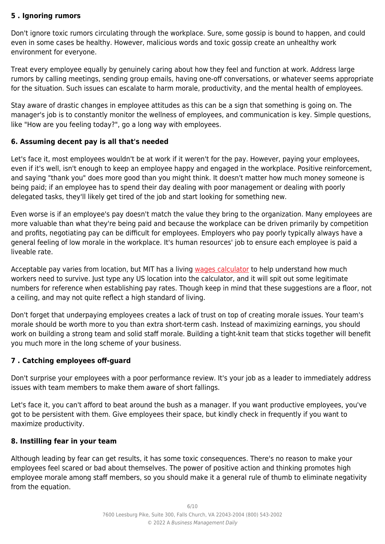#### **5 . Ignoring rumors**

Don't ignore toxic rumors circulating through the workplace. Sure, some gossip is bound to happen, and could even in some cases be healthy. However, malicious words and toxic gossip create an unhealthy work environment for everyone.

Treat every employee equally by genuinely caring about how they feel and function at work. Address large rumors by calling meetings, sending group emails, having one-off conversations, or whatever seems appropriate for the situation. Such issues can escalate to harm morale, productivity, and the mental health of employees.

Stay aware of drastic changes in employee attitudes as this can be a sign that something is going on. The manager's job is to constantly monitor the wellness of employees, and communication is key. Simple questions, like "How are you feeling today?", go a long way with employees.

#### **6. Assuming decent pay is all that's needed**

Let's face it, most employees wouldn't be at work if it weren't for the pay. However, paying your employees, even if it's well, isn't enough to keep an employee happy and engaged in the workplace. Positive reinforcement, and saying "thank you" does more good than you might think. It doesn't matter how much money someone is being paid; if an employee has to spend their day dealing with poor management or dealing with poorly delegated tasks, they'll likely get tired of the job and start looking for something new.

Even worse is if an employee's pay doesn't match the value they bring to the organization. Many employees are more valuable than what they're being paid and because the workplace can be driven primarily by competition and profits, negotiating pay can be difficult for employees. Employers who pay poorly typically always have a general feeling of low morale in the workplace. It's human resources' job to ensure each employee is paid a liveable rate.

Acceptable pay varies from location, but MIT has a living [wages calculator](https://livingwage.mit.edu/) to help understand how much workers need to survive. Just type any US location into the calculator, and it will spit out some legitimate numbers for reference when establishing pay rates. Though keep in mind that these suggestions are a floor, not a ceiling, and may not quite reflect a high standard of living.

Don't forget that underpaying employees creates a lack of trust on top of creating morale issues. Your team's morale should be worth more to you than extra short-term cash. Instead of maximizing earnings, you should work on building a strong team and solid staff morale. Building a tight-knit team that sticks together will benefit you much more in the long scheme of your business.

## **7 . Catching employees off-guard**

Don't surprise your employees with a poor performance review. It's your job as a leader to immediately address issues with team members to make them aware of short fallings.

Let's face it, you can't afford to beat around the bush as a manager. If you want productive employees, you've got to be persistent with them. Give employees their space, but kindly check in frequently if you want to maximize productivity.

#### **8. Instilling fear in your team**

Although leading by fear can get results, it has some toxic consequences. There's no reason to make your employees feel scared or bad about themselves. The power of positive action and thinking promotes high employee morale among staff members, so you should make it a general rule of thumb to eliminate negativity from the equation.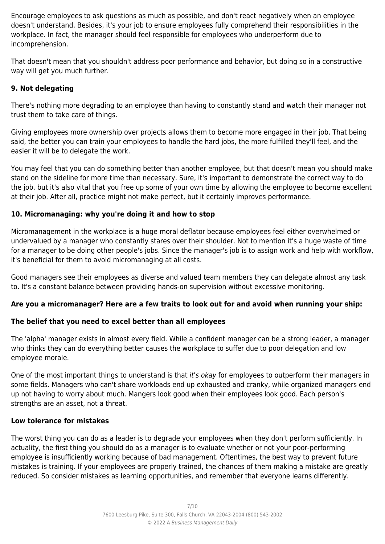Encourage employees to ask questions as much as possible, and don't react negatively when an employee doesn't understand. Besides, it's your job to ensure employees fully comprehend their responsibilities in the workplace. In fact, the manager should feel responsible for employees who underperform due to incomprehension.

That doesn't mean that you shouldn't address poor performance and behavior, but doing so in a constructive way will get you much further.

## **9. Not delegating**

There's nothing more degrading to an employee than having to constantly stand and watch their manager not trust them to take care of things.

Giving employees more ownership over projects allows them to become more engaged in their job. That being said, the better you can train your employees to handle the hard jobs, the more fulfilled they'll feel, and the easier it will be to delegate the work.

You may feel that you can do something better than another employee, but that doesn't mean you should make stand on the sideline for more time than necessary. Sure, it's important to demonstrate the correct way to do the job, but it's also vital that you free up some of your own time by allowing the employee to become excellent at their job. After all, practice might not make perfect, but it certainly improves performance.

## **10. Micromanaging: why you're doing it and how to stop**

Micromanagement in the workplace is a huge moral deflator because employees feel either overwhelmed or undervalued by a manager who constantly stares over their shoulder. Not to mention it's a huge waste of time for a manager to be doing other people's jobs. Since the manager's job is to assign work and help with workflow, it's beneficial for them to avoid micromanaging at all costs.

Good managers see their employees as diverse and valued team members they can delegate almost any task to. It's a constant balance between providing hands-on supervision without excessive monitoring.

## **Are you a micromanager? Here are a few traits to look out for and avoid when running your ship:**

## **The belief that you need to excel better than all employees**

The 'alpha' manager exists in almost every field. While a confident manager can be a strong leader, a manager who thinks they can do everything better causes the workplace to suffer due to poor delegation and low employee morale.

One of the most important things to understand is that *it's okay* for employees to outperform their managers in some fields. Managers who can't share workloads end up exhausted and cranky, while organized managers end up not having to worry about much. Mangers look good when their employees look good. Each person's strengths are an asset, not a threat.

#### **Low tolerance for mistakes**

The worst thing you can do as a leader is to degrade your employees when they don't perform sufficiently. In actuality, the first thing you should do as a manager is to evaluate whether or not your poor-performing employee is insufficiently working because of bad management. Oftentimes, the best way to prevent future mistakes is training. If your employees are properly trained, the chances of them making a mistake are greatly reduced. So consider mistakes as learning opportunities, and remember that everyone learns differently.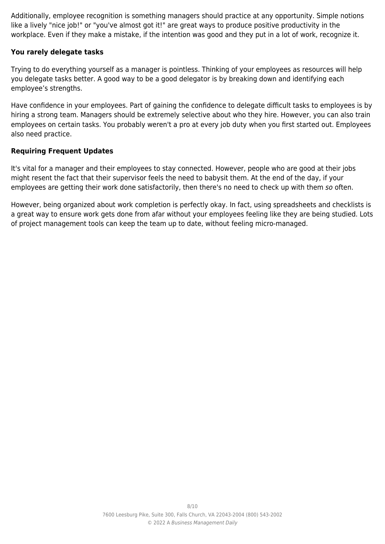Additionally, employee recognition is something managers should practice at any opportunity. Simple notions like a lively "nice job!" or "you've almost got it!" are great ways to produce positive productivity in the workplace. Even if they make a mistake, if the intention was good and they put in a lot of work, recognize it.

#### **You rarely delegate tasks**

Trying to do everything yourself as a manager is pointless. Thinking of your employees as resources will help you delegate tasks better. A good way to be a good delegator is by breaking down and identifying each employee's strengths.

Have confidence in your employees. Part of gaining the confidence to delegate difficult tasks to employees is by hiring a strong team. Managers should be extremely selective about who they hire. However, you can also train employees on certain tasks. You probably weren't a pro at every job duty when you first started out. Employees also need practice.

#### **Requiring Frequent Updates**

It's vital for a manager and their employees to stay connected. However, people who are good at their jobs might resent the fact that their supervisor feels the need to babysit them. At the end of the day, if your employees are getting their work done satisfactorily, then there's no need to check up with them so often.

However, being organized about work completion is perfectly okay. In fact, using spreadsheets and checklists is a great way to ensure work gets done from afar without your employees feeling like they are being studied. Lots of project management tools can keep the team up to date, without feeling micro-managed.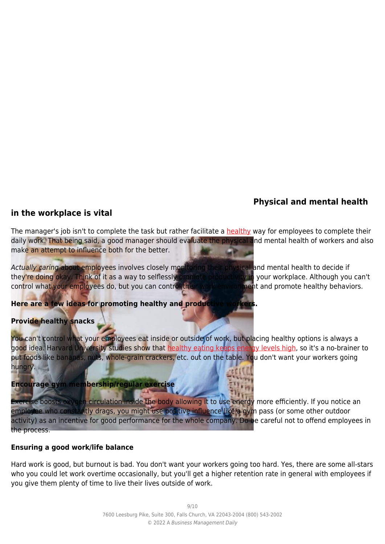# **Physical and mental health**

# **in the workplace is vital**

The manager's job isn't to complete the task but rather facilitate a [healthy](https://www.mentalhealth.org.uk/a-to-z/p/physical-health-and-mental-health) way for employees to complete their daily work. That being said, a good manager should evaluate the physical and mental health of workers and also make an attempt to influence both for the better.

Actually caring about employees involves closely monitoring their physical and mental health to decide if they're doing okay. Think of it as a way to selflessly promote productivity in your workplace. Although you can't control what your employees do, but you can control their work environment and promote healthy behaviors.

## **Here are a few ideas for promoting healthy and production and production workers.**

## **Provide healthy snacks**

You can't control what your employees eat inside or outside of work, but placing healthy options is always a good idea. Harvard University studies show that [healthy eating keeps energy levels high,](https://www.health.harvard.edu/healthbeat/eating-to-boost-energy) so it's a no-brainer to put foods like bananas, nuts, whole-grain crackers, etc. out on the table. You don't want your workers going hungry.

# **Encourage gym membership/regular exercise**

Exercise boosts oxygen circulation inside the body allowing it to use energy more efficiently. If you notice an employee who constantly drags, you might use positive influence like a gym pass (or some other outdoor activity) as an incentive for good performance for the whole company. Do be careful not to offend employees in the process.

## **Ensuring a good work/life balance**

Hard work is good, but burnout is bad. You don't want your workers going too hard. Yes, there are some all-stars who you could let work overtime occasionally, but you'll get a higher retention rate in general with employees if you give them plenty of time to live their lives outside of work.